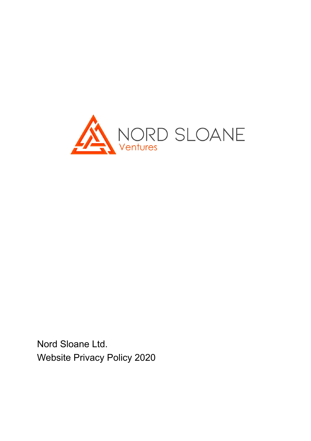

Nord Sloane Ltd. Website Privacy Policy 2020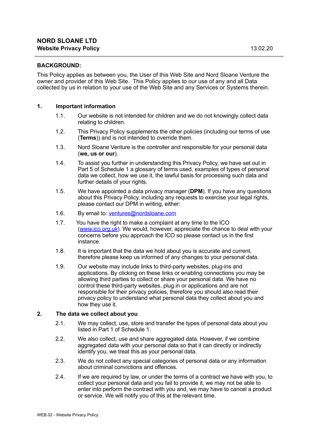#### **BACKGROUND:**

This Policy applies as between you, the User of this Web Site and Nord Sloane Venture the owner and provider of this Web Site. This Policy applies to our use of any and all Data collected by us in relation to your use of the Web Site and any Services or Systems therein.

#### **1. Important information**

- 1.1. Our website is not intended for children and we do not knowingly collect data relating to children.
- 1.2. This Privacy Policy supplements the other policies (including our terms of use (**Terms**)) and is not intended to override them.
- 1.3. Nord Sloane Venture is the controller and responsible for your personal data (**we, us or our**).
- 1.4. To assist you further in understanding this Privacy Policy, we have set out in [Part 5](#page-8-0) of Schedule 1 a glossary of terms used, examples of types of personal data we collect, how we use it, the lawful basis for processing such data and further details of your rights.
- 1.5. We have appointed a data privacy manager (**DPM**). If you have any questions about this Privacy Policy, including any requests to exercise your legal rights, please contact our DPM in writing, either:
- 1.6. By email to: [ventures@nordsloane.com](mailto:ventures@nordsloane.com)
- 1.7. You have the right to make a complaint at any time to the ICO (*www.ico.org.uk*). We would, however, appreciate the chance to deal with your concerns before you approach the ICO so please contact us in the first instance.
- 1.8. It is important that the data we hold about you is accurate and current, therefore please keep us informed of any changes to your personal data.
- 1.9. Our website may include links to third-party websites, plug-ins and applications. By clicking on these links or enabling connections you may be allowing third parties to collect or share your personal data. We have no control these third-party websites, plug in or applications and are not responsible for their privacy policies, therefore you should also read their privacy policy to understand what personal data they collect about you and how they use it.

#### **2. The data we collect about you**

- 2.1. We may collect, use, store and transfer the types of personal data about you listed in [Part 1](#page-4-0) of Schedule 1.
- 2.2. We also collect, use and share aggregated data. However, if we combine aggregated data with your personal data so that it can directly or indirectly identify you, we treat this as your personal data.
- 2.3. We do not collect any special categories of personal data or any information about criminal convictions and offences.
- 2.4. If we are required by law, or under the terms of a contract we have with you, to collect your personal data and you fail to provide it, we may not be able to enter into perform the contract with you and, we may have to cancel a product or service. We will notify you of this at the relevant time.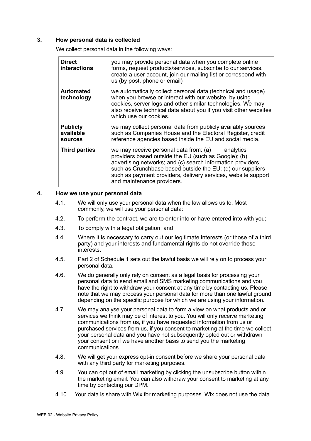#### **3. How personal data is collected**

We collect personal data in the following ways:

| <b>Direct</b><br><b>interactions</b>           | you may provide personal data when you complete online<br>forms, request products/services, subscribe to our services,<br>create a user account, join our mailing list or correspond with<br>us (by post, phone or email)                                                                                                             |
|------------------------------------------------|---------------------------------------------------------------------------------------------------------------------------------------------------------------------------------------------------------------------------------------------------------------------------------------------------------------------------------------|
| Automated<br>technology                        | we automatically collect personal data (technical and usage)<br>when you browse or interact with our website, by using<br>cookies, server logs and other similar technologies. We may<br>also receive technical data about you if you visit other websites<br>which use our cookies.                                                  |
| <b>Publicly</b><br>available<br><b>sources</b> | we may collect personal data from publicly availably sources<br>such as Companies House and the Electoral Register, credit<br>reference agencies based inside the EU and social media.                                                                                                                                                |
| <b>Third parties</b>                           | we may receive personal data from: $(a)$ analytics<br>providers based outside the EU (such as Google); (b)<br>advertising networks; and (c) search information providers<br>such as Crunchbase based outside the EU; (d) our suppliers<br>such as payment providers, delivery services, website support<br>and maintenance providers. |

#### **4. How we use your personal data**

- 4.1. We will only use your personal data when the law allows us to. Most commonly, we will use your personal data:
- 4.2. To perform the contract, we are to enter into or have entered into with you;
- 4.3. To comply with a legal obligation; and
- 4.4. Where it is necessary to carry out our legitimate interests (or those of a third party) and your interests and fundamental rights do not override those interests.
- 4.5. [Part 2](#page-4-1) of Schedule 1 sets out the lawful basis we will rely on to process your personal data.
- 4.6. We do generally only rely on consent as a legal basis for processing your personal data to send email and SMS marketing communications and you have the right to withdraw your consent at any time by contacting us. Please note that we may process your personal data for more than one lawful ground depending on the specific purpose for which we are using your information.
- 4.7. We may analyse your personal data to form a view on what products and or services we think may be of interest to you. You will only receive marketing communications from us, if you have requested information from us or purchased services from us, if you consent to marketing at the time we collect your personal data and you have not subsequently opted out or withdrawn your consent or if we have another basis to send you the marketing communications.
- 4.8. We will get your express opt-in consent before we share your personal data with any third party for marketing purposes.
- 4.9. You can opt out of email marketing by clicking the unsubscribe button within the marketing email. You can also withdraw your consent to marketing at any time by contacting our DPM.
- 4.10. Your data is share with Wix for marketing purposes. Wix does not use the data.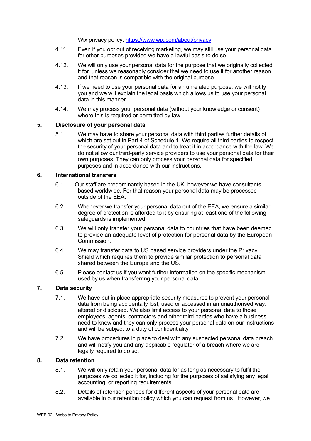Wix privacy policy:<https://www.wix.com/about/privacy>

- 4.11. Even if you opt out of receiving marketing, we may still use your personal data for other purposes provided we have a lawful basis to do so.
- 4.12. We will only use your personal data for the purpose that we originally collected it for, unless we reasonably consider that we need to use it for another reason and that reason is compatible with the original purpose.
- 4.13. If we need to use your personal data for an unrelated purpose, we will notify you and we will explain the legal basis which allows us to use your personal data in this manner.
- 4.14. We may process your personal data (without your knowledge or consent) where this is required or permitted by law.

#### **5. Disclosure of your personal data**

5.1. We may have to share your personal data with third parties further details of which are set out in [Part 4](#page-7-0) of Schedule 1. We require all third parties to respect the security of your personal data and to treat it in accordance with the law. We do not allow our third-party service providers to use your personal data for their own purposes. They can only process your personal data for specified purposes and in accordance with our instructions.

#### **6. International transfers**

- 6.1. Our staff are predominantly based in the UK, however we have consultants based worldwide. For that reason your personal data may be processed outside of the EEA.
- 6.2. Whenever we transfer your personal data out of the EEA, we ensure a similar degree of protection is afforded to it by ensuring at least one of the following safeguards is implemented:
- 6.3. We will only transfer your personal data to countries that have been deemed to provide an adequate level of protection for personal data by the European Commission.
- 6.4. We may transfer data to US based service providers under the Privacy Shield which requires them to provide similar protection to personal data shared between the Europe and the US.
- 6.5. Please contact us if you want further information on the specific mechanism used by us when transferring your personal data.

## **7. Data security**

- 7.1. We have put in place appropriate security measures to prevent your personal data from being accidentally lost, used or accessed in an unauthorised way, altered or disclosed. We also limit access to your personal data to those employees, agents, contractors and other third parties who have a business need to know and they can only process your personal data on our instructions and will be subject to a duty of confidentiality.
- 7.2. We have procedures in place to deal with any suspected personal data breach and will notify you and any applicable regulator of a breach where we are legally required to do so.

#### **8. Data retention**

- 8.1. We will only retain your personal data for as long as necessary to fulfil the purposes we collected it for, including for the purposes of satisfying any legal, accounting, or reporting requirements.
- 8.2. Details of retention periods for different aspects of your personal data are available in our retention policy which you can request from us. However, we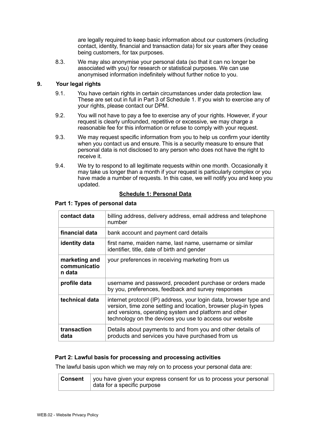are legally required to keep basic information about our customers (including contact, identity, financial and transaction data) for six years after they cease being customers, for tax purposes.

8.3. We may also anonymise your personal data (so that it can no longer be associated with you) for research or statistical purposes. We can use anonymised information indefinitely without further notice to you.

## **9. Your legal rights**

- 9.1. You have certain rights in certain circumstances under data protection law. These are set out in full in [Part 3](#page-6-0) of Schedule 1. If you wish to exercise any of your rights, please contact our DPM.
- 9.2. You will not have to pay a fee to exercise any of your rights. However, if your request is clearly unfounded, repetitive or excessive, we may charge a reasonable fee for this information or refuse to comply with your request.
- 9.3. We may request specific information from you to help us confirm your identity when you contact us and ensure. This is a security measure to ensure that personal data is not disclosed to any person who does not have the right to receive it.
- 9.4. We try to respond to all legitimate requests within one month. Occasionally it may take us longer than a month if your request is particularly complex or you have made a number of requests. In this case, we will notify you and keep you updated.

## **Schedule 1: Personal Data**

| contact data                            | billing address, delivery address, email address and telephone<br>number                                                                                                                                                                                |  |
|-----------------------------------------|---------------------------------------------------------------------------------------------------------------------------------------------------------------------------------------------------------------------------------------------------------|--|
| financial data                          | bank account and payment card details                                                                                                                                                                                                                   |  |
| identity data                           | first name, maiden name, last name, username or similar<br>identifier, title, date of birth and gender                                                                                                                                                  |  |
| marketing and<br>communicatio<br>n data | your preferences in receiving marketing from us                                                                                                                                                                                                         |  |
| profile data                            | username and password, precedent purchase or orders made<br>by you, preferences, feedback and survey responses                                                                                                                                          |  |
| technical data                          | internet protocol (IP) address, your login data, browser type and<br>version, time zone setting and location, browser plug-in types<br>and versions, operating system and platform and other<br>technology on the devices you use to access our website |  |
| transaction<br>data                     | Details about payments to and from you and other details of<br>products and services you have purchased from us                                                                                                                                         |  |

#### <span id="page-4-0"></span> **Part 1: Types of personal data**

## <span id="page-4-1"></span> **Part 2: Lawful basis for processing and processing activities**

The lawful basis upon which we may rely on to process your personal data are:

| Consent | you have given your express consent for us to process your personal |
|---------|---------------------------------------------------------------------|
|         | data for a specific purpose                                         |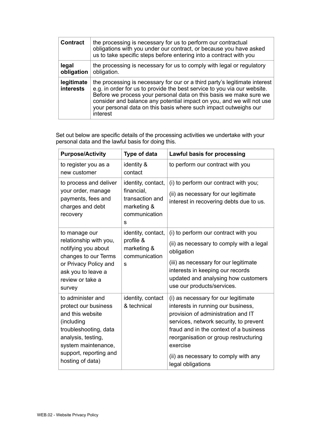| <b>Contract</b>                | the processing is necessary for us to perform our contractual<br>obligations with you under our contract, or because you have asked<br>us to take specific steps before entering into a contract with you                                                                                                                                                                             |
|--------------------------------|---------------------------------------------------------------------------------------------------------------------------------------------------------------------------------------------------------------------------------------------------------------------------------------------------------------------------------------------------------------------------------------|
| legal<br>obligation            | the processing is necessary for us to comply with legal or regulatory<br>obligation.                                                                                                                                                                                                                                                                                                  |
| legitimate<br><b>interests</b> | the processing is necessary for our or a third party's legitimate interest<br>e.g. in order for us to provide the best service to you via our website.<br>Before we process your personal data on this basis we make sure we<br>consider and balance any potential impact on you, and we will not use<br>your personal data on this basis where such impact outweighs our<br>interest |

Set out below are specific details of the processing activities we undertake with your personal data and the lawful basis for doing this.

| <b>Purpose/Activity</b>                                                                                                                                                                         | Type of data                                                                             | <b>Lawful basis for processing</b>                                                                                                                                                                                                                                                                                    |
|-------------------------------------------------------------------------------------------------------------------------------------------------------------------------------------------------|------------------------------------------------------------------------------------------|-----------------------------------------------------------------------------------------------------------------------------------------------------------------------------------------------------------------------------------------------------------------------------------------------------------------------|
| to register you as a<br>new customer                                                                                                                                                            | identity &<br>contact                                                                    | to perform our contract with you                                                                                                                                                                                                                                                                                      |
| to process and deliver<br>your order, manage<br>payments, fees and<br>charges and debt<br>recovery                                                                                              | identity, contact,<br>financial,<br>transaction and<br>marketing &<br>communication<br>S | (i) to perform our contract with you;<br>(ii) as necessary for our legitimate<br>interest in recovering debts due to us.                                                                                                                                                                                              |
| to manage our<br>relationship with you,<br>notifying you about<br>changes to our Terms<br>or Privacy Policy and<br>ask you to leave a<br>review or take a<br>survey                             | identity, contact,<br>profile &<br>marketing &<br>communication<br>S                     | (i) to perform our contract with you<br>(ii) as necessary to comply with a legal<br>obligation<br>(iii) as necessary for our legitimate<br>interests in keeping our records<br>updated and analysing how customers<br>use our products/services.                                                                      |
| to administer and<br>protect our business<br>and this website<br>(including<br>troubleshooting, data<br>analysis, testing,<br>system maintenance,<br>support, reporting and<br>hosting of data) | identity, contact<br>& technical                                                         | (i) as necessary for our legitimate<br>interests in running our business,<br>provision of administration and IT<br>services, network security, to prevent<br>fraud and in the context of a business<br>reorganisation or group restructuring<br>exercise<br>(ii) as necessary to comply with any<br>legal obligations |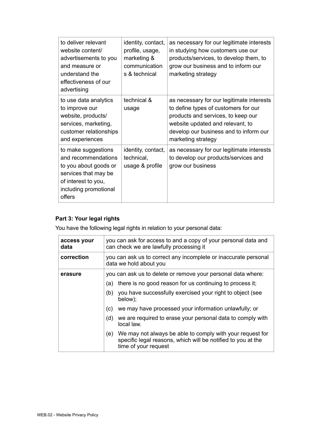| to deliver relevant<br>website content/<br>advertisements to you<br>and measure or<br>understand the<br>effectiveness of our<br>advertising           | identity, contact,<br>profile, usage,<br>marketing &<br>communication<br>s & technical | as necessary for our legitimate interests<br>in studying how customers use our<br>products/services, to develop them, to<br>grow our business and to inform our<br>marketing strategy                                       |
|-------------------------------------------------------------------------------------------------------------------------------------------------------|----------------------------------------------------------------------------------------|-----------------------------------------------------------------------------------------------------------------------------------------------------------------------------------------------------------------------------|
| to use data analytics<br>to improve our<br>website, products/<br>services, marketing,<br>customer relationships<br>and experiences                    | technical &<br>usage                                                                   | as necessary for our legitimate interests<br>to define types of customers for our<br>products and services, to keep our<br>website updated and relevant, to<br>develop our business and to inform our<br>marketing strategy |
| to make suggestions<br>and recommendations<br>to you about goods or<br>services that may be<br>of interest to you,<br>including promotional<br>offers | identity, contact,<br>technical,<br>usage & profile                                    | as necessary for our legitimate interests<br>to develop our products/services and<br>grow our business                                                                                                                      |

# <span id="page-6-0"></span>**Part 3: Your legal rights**

You have the following legal rights in relation to your personal data:

| access your<br>data | you can ask for access to and a copy of your personal data and<br>can check we are lawfully processing it                                                |  |
|---------------------|----------------------------------------------------------------------------------------------------------------------------------------------------------|--|
| correction          | you can ask us to correct any incomplete or inaccurate personal<br>data we hold about you                                                                |  |
| erasure             | you can ask us to delete or remove your personal data where:                                                                                             |  |
|                     | there is no good reason for us continuing to process it;<br>(a)                                                                                          |  |
|                     | you have successfully exercised your right to object (see<br>(b)<br>below);                                                                              |  |
|                     | we may have processed your information unlawfully; or<br>(C)                                                                                             |  |
|                     | we are required to erase your personal data to comply with<br>(d)<br>local law.                                                                          |  |
|                     | We may not always be able to comply with your request for<br>(e)<br>specific legal reasons, which will be notified to you at the<br>time of your request |  |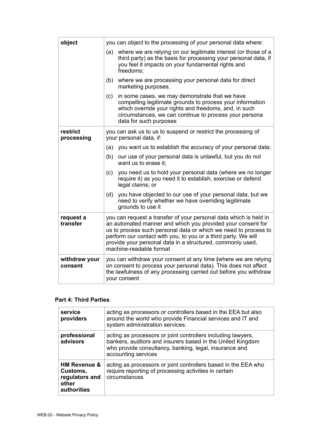| object                   | you can object to the processing of your personal data where:                                                                                                                                                                                                                                                                                                  |  |
|--------------------------|----------------------------------------------------------------------------------------------------------------------------------------------------------------------------------------------------------------------------------------------------------------------------------------------------------------------------------------------------------------|--|
|                          | where we are relying on our legitimate interest (or those of a<br>(a)<br>third party) as the basis for processing your personal data, if<br>you feel it impacts on your fundamental rights and<br>freedoms:                                                                                                                                                    |  |
|                          | where we are processing your personal data for direct<br>(b)<br>marketing purposes.                                                                                                                                                                                                                                                                            |  |
|                          | in some cases, we may demonstrate that we have<br>(c)<br>compelling legitimate grounds to process your information<br>which override your rights and freedoms, and, in such<br>circumstances, we can continue to process your persona<br>data for such purposes                                                                                                |  |
| restrict<br>processing   | you can ask us to us to suspend or restrict the processing of<br>your personal data, if:                                                                                                                                                                                                                                                                       |  |
|                          | (a)<br>you want us to establish the accuracy of your personal data;                                                                                                                                                                                                                                                                                            |  |
|                          | (b)<br>our use of your personal data is unlawful, but you do not<br>want us to erase it:                                                                                                                                                                                                                                                                       |  |
|                          | you need us to hold your personal data (where we no longer<br>(c)<br>require it) as you need it to establish, exercise or defend<br>legal claims; or                                                                                                                                                                                                           |  |
|                          | you have objected to our use of your personal data, but we<br>(d)<br>need to verify whether we have overriding legitimate<br>grounds to use it                                                                                                                                                                                                                 |  |
| request a<br>transfer    | you can request a transfer of your personal data which is held in<br>an automated manner and which you provided your consent for<br>us to process such personal data or which we need to process to<br>perform our contact with you, to you or a third party. We will<br>provide your personal data in a structured, commonly used,<br>machine-readable format |  |
| withdraw your<br>consent | you can withdraw your consent at any time (where we are relying<br>on consent to process your personal data). This does not affect<br>the lawfulness of any processing carried out before you withdraw<br>your consent                                                                                                                                         |  |

#### <span id="page-7-0"></span> **Part 4: Third Parties**

| service<br>providers                                                                 | acting as processors or controllers based in the EEA but also<br>around the world who provide Financial services and IT and<br>system administration services.                                              |
|--------------------------------------------------------------------------------------|-------------------------------------------------------------------------------------------------------------------------------------------------------------------------------------------------------------|
| professional<br>advisors                                                             | acting as processors or joint controllers including lawyers,<br>bankers, auditors and insurers based in the United Kingdom<br>who provide consultancy, banking, legal, insurance and<br>accounting services |
| <b>HM Revenue &amp;</b><br>Customs,<br>regulators and<br>other<br><b>authorities</b> | acting as processors or joint controllers based in the EEA who<br>require reporting of processing activities in certain<br>circumstances                                                                    |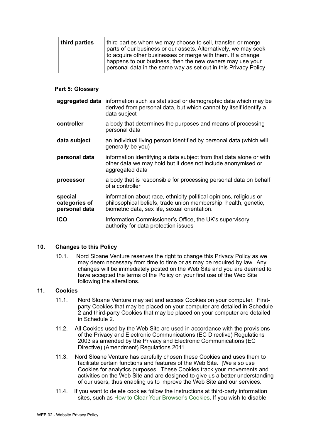| third parties | third parties whom we may choose to sell, transfer, or merge<br>parts of our business or our assets. Alternatively, we may seek<br>to acquire other businesses or merge with them. If a change<br>happens to our business, then the new owners may use your |
|---------------|-------------------------------------------------------------------------------------------------------------------------------------------------------------------------------------------------------------------------------------------------------------|
|               | personal data in the same way as set out in this Privacy Policy                                                                                                                                                                                             |

#### <span id="page-8-0"></span> **Part 5: Glossary**

|                                           | aggregated data information such as statistical or demographic data which may be<br>derived from personal data, but which cannot by itself identify a<br>data subject                  |
|-------------------------------------------|----------------------------------------------------------------------------------------------------------------------------------------------------------------------------------------|
| controller                                | a body that determines the purposes and means of processing<br>personal data                                                                                                           |
| data subject                              | an individual living person identified by personal data (which will<br>generally be you)                                                                                               |
| personal data                             | information identifying a data subject from that data alone or with<br>other data we may hold but it does not include anonymised or<br>aggregated data                                 |
| processor                                 | a body that is responsible for processing personal data on behalf<br>of a controller                                                                                                   |
| special<br>categories of<br>personal data | information about race, ethnicity political opinions, religious or<br>philosophical beliefs, trade union membership, health, genetic,<br>biometric data, sex life, sexual orientation. |
| <b>ICO</b>                                | Information Commissioner's Office, the UK's supervisory<br>authority for data protection issues                                                                                        |

#### **10. Changes to this Policy**

10.1. Nord Sloane Venture reserves the right to change this Privacy Policy as we may deem necessary from time to time or as may be required by law. Any changes will be immediately posted on the Web Site and you are deemed to have accepted the terms of the Policy on your first use of the Web Site following the alterations.

#### **11. Cookies**

- 11.1. Nord Sloane Venture may set and access Cookies on your computer. Firstparty Cookies that may be placed on your computer are detailed in Schedule 2 and third-party Cookies that may be placed on your computer are detailed in Schedule 2.
- 11.2. All Cookies used by the Web Site are used in accordance with the provisions of the Privacy and Electronic Communications (EC Directive) Regulations 2003 as amended by the Privacy and Electronic Communications (EC Directive) (Amendment) Regulations 2011.
- 11.3. Nord Sloane Venture has carefully chosen these Cookies and uses them to facilitate certain functions and features of the Web Site. [We also use Cookies for analytics purposes. These Cookies track your movements and activities on the Web Site and are designed to give us a better understanding of our users, thus enabling us to improve the Web Site and our services.
- 11.4. If you want to delete cookies follow the instructions at third-party information sites, such as [How to Clear Your Browser's Cookies](https://m.wikihow.com/Clear-Your-Browser%27s-Cookies). If you wish to disable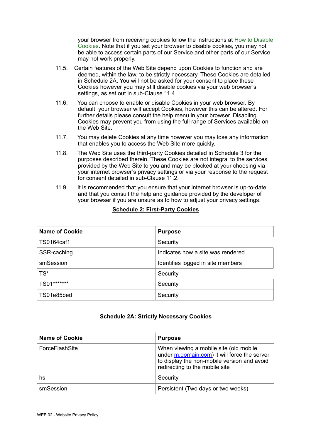your browser from receiving cookies follow the instructions at [How to Disable](https://m.wikihow.com/Disable-Cookies)  [Cookies.](https://m.wikihow.com/Disable-Cookies) Note that if you set your browser to disable cookies, you may not be able to access certain parts of our Service and other parts of our Service may not work properly.

- 11.5. Certain features of the Web Site depend upon Cookies to function and are deemed, within the law, to be strictly necessary. These Cookies are detailed in Schedule 2A. You will not be asked for your consent to place these Cookies however you may still disable cookies via your web browser's settings, as set out in sub-Clause 11.4.
- 11.6. You can choose to enable or disable Cookies in your web browser. By default, your browser will accept Cookies, however this can be altered. For further details please consult the help menu in your browser. Disabling Cookies may prevent you from using the full range of Services available on the Web Site.
- 11.7. You may delete Cookies at any time however you may lose any information that enables you to access the Web Site more quickly.
- 11.8. The Web Site uses the third-party Cookies detailed in Schedule 3 for the purposes described therein. These Cookies are not integral to the services provided by the Web Site to you and may be blocked at your choosing via your internet browser's privacy settings or via your response to the request for consent detailed in sub-Clause 11.2.
- 11.9. It is recommended that you ensure that your internet browser is up-to-date and that you consult the help and guidance provided by the developer of your browser if you are unsure as to how to adjust your privacy settings.

| <b>Name of Cookie</b> | <b>Purpose</b>                     |
|-----------------------|------------------------------------|
| TS0164caf1            | Security                           |
| SSR-caching           | Indicates how a site was rendered. |
| smSession             | Identifies logged in site members  |
| $TS^*$                | Security                           |
| TS01*******           | Security                           |
| TS01e85bed            | Security                           |

## **Schedule 2: First-Party Cookies**

#### **Schedule 2A: Strictly Necessary Cookies**

| <b>Name of Cookie</b> | <b>Purpose</b>                                                                                                                                                          |
|-----------------------|-------------------------------------------------------------------------------------------------------------------------------------------------------------------------|
| ForceFlashSite        | When viewing a mobile site (old mobile<br>under m.domain.com) it will force the server<br>to display the non-mobile version and avoid<br>redirecting to the mobile site |
| hs                    | Security                                                                                                                                                                |
| smSession             | Persistent (Two days or two weeks)                                                                                                                                      |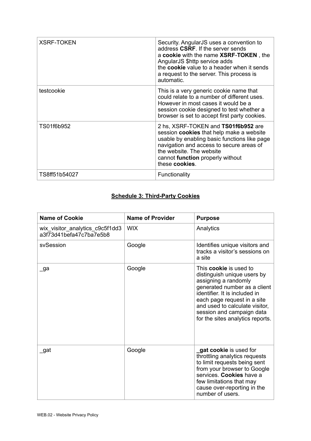| <b>XSRF-TOKEN</b> | Security. AngularJS uses a convention to<br>address CSRF. If the server sends<br>a cookie with the name XSRF-TOKEN, the<br>AngularJS \$http service adds<br>the cookie value to a header when it sends<br>a request to the server. This process is<br>automatic.     |
|-------------------|----------------------------------------------------------------------------------------------------------------------------------------------------------------------------------------------------------------------------------------------------------------------|
| testcookie        | This is a very generic cookie name that<br>could relate to a number of different uses.<br>However in most cases it would be a<br>session cookie designed to test whether a<br>browser is set to accept first party cookies.                                          |
| TS01f6b952        | 2 hs, XSRF-TOKEN and TS01f6b952 are<br>session <b>cookies</b> that help make a website<br>usable by enabling basic functions like page<br>navigation and access to secure areas of<br>the website. The website<br>cannot function properly without<br>these cookies. |
| TS8ff51b54027     | Functionality                                                                                                                                                                                                                                                        |

## **Schedule 3: Third-Party Cookies**

| <b>Name of Cookie</b>                                      | <b>Name of Provider</b> | <b>Purpose</b>                                                                                                                                                                                                                                                                          |
|------------------------------------------------------------|-------------------------|-----------------------------------------------------------------------------------------------------------------------------------------------------------------------------------------------------------------------------------------------------------------------------------------|
| wix visitor analytics c9c5f1dd3<br>a3f73d41befa47c7ba7e5b8 | <b>WIX</b>              | Analytics                                                                                                                                                                                                                                                                               |
| svSession                                                  | Google                  | Identifies unique visitors and<br>tracks a visitor's sessions on<br>a site                                                                                                                                                                                                              |
| _ga                                                        | Google                  | This <b>cookie</b> is used to<br>distinguish unique users by<br>assigning a randomly<br>generated number as a client<br>identifier. It is included in<br>each page request in a site<br>and used to calculate visitor,<br>session and campaign data<br>for the sites analytics reports. |
| _gat                                                       | Google                  | gat cookie is used for<br>throttling analytics requests<br>to limit requests being sent<br>from your browser to Google<br>services. Cookies have a<br>few limitations that may<br>cause over-reporting in the<br>number of users.                                                       |